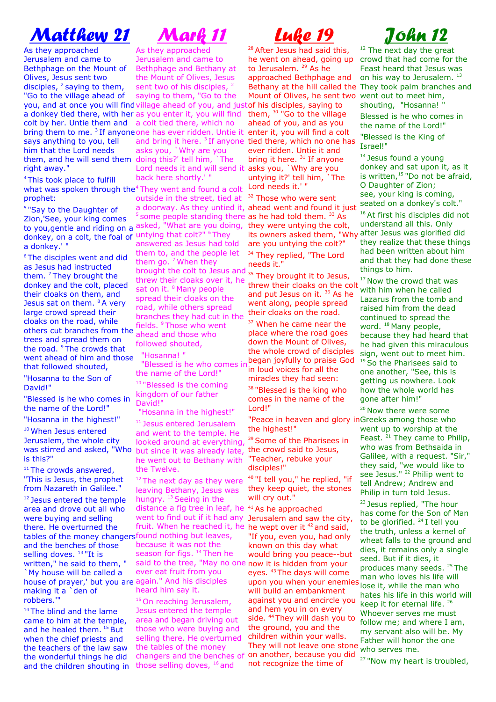## Matthew 21 Mark 11 Luke 19 John 12

As they approached Jerusalem and came to Bethphage on the Mount of Olives, Jesus sent two disciples,  $2$  saying to them, "Go to the village ahead of you, and at once you will find village ahead of you, and just of his disciples, saying to a donkey tied there, with her as you enter it, you will find colt by her. Untie them and a colt tied there, which no bring them to me. <sup>3</sup> If anyone one has ever ridden. Untie it enter it, you will find a colt says anything to you, tell him that the Lord needs them, and he will send them doing this?' tell him, `The right away."

<sup>4</sup>This took place to fulfill what was spoken through the<sup>4</sup> They went and found a colt prophet:

<sup>5</sup>"Say to the Daughter of Zion,'See, your king comes to you,gentle and riding on a asked, "What are you doing, they were untying the colt, donkey, on a colt, the foal of untying that colt?" <sup>6</sup>They a donkey.' "

<sup>6</sup>The disciples went and did as Jesus had instructed them. <sup>7</sup>They brought the donkey and the colt, placed their cloaks on them, and Jesus sat on them.  $8A$  very large crowd spread their cloaks on the road, while others cut branches from the trees and spread them on the road. <sup>9</sup>The crowds that went ahead of him and those that followed shouted,

"Hosanna to the Son of David!"

"Blessed is he who comes in the name of the Lord!"

"Hosanna in the highest!"

<sup>10</sup> When Jesus entered Jerusalem, the whole city is this?"

<sup>11</sup>The crowds answered, "This is Jesus, the prophet from Nazareth in Galilee." <sup>12</sup> Jesus entered the temple area and drove out all who were buying and selling there. He overturned the tables of the money changers found nothing but leaves, and the benches of those selling doves.  $13$  "It is written," he said to them, " `My house will be called a house of prayer,' but you are again." And his disciples making it a `den of robbers.'"

<sup>14</sup> The blind and the lame came to him at the temple, and he healed them.  $15$  But when the chief priests and the teachers of the law saw the wonderful things he did

As they approached Jerusalem and came to Bethphage and Bethany at the Mount of Olives, Jesus sent two of his disciples, <sup>2</sup> saying to them, "Go to the and bring it here.  $3$  If anyone tied there, which no one has asks you, `Why are you Lord needs it and will send it back here shortly.' "

outside in the street, tied at a doorway. As they untied it, ahead went and found it just  $5$  some people standing there as he had told them.  $33$  As answered as Jesus had told them to, and the people let them go. <sup>7</sup> When they brought the colt to Jesus and threw their cloaks over it, he sat on it. <sup>8</sup> Many people spread their cloaks on the road, while others spread branches they had cut in the fields. <sup>9</sup>Those who went ahead and those who followed shouted,

"Hosanna! "

 "Blessed is he who comes in the name of the Lord!" <sup>10</sup> "Blessed is the coming kingdom of our father David!"

"Hosanna in the highest!"

was stirred and asked, "Who but since it was already late, <sup>11</sup> Jesus entered Jerusalem and went to the temple. He looked around at everything, he went out to Bethany with the Twelve.

> <sup>12</sup>The next day as they were leaving Bethany, Jesus was hungry.<sup>13</sup> Seeing in the distance a fig tree in leaf, he <sup>41</sup>As he approached went to find out if it had any Jerusalem and saw the city, fruit. When he reached it, he he wept over it <sup>42</sup> and said, because it was not the season for figs. <sup>14</sup> Then he said to the tree, "May no one now it is hidden from your ever eat fruit from you heard him say it.

and the children shouting in those selling doves,  $16$  and  $15$  On reaching Jerusalem, Jesus entered the temple area and began driving out those who were buying and selling there. He overturned the tables of the money changers and the benches of

<sup>28</sup> After Jesus had said this, he went on ahead, going up to Jerusalem.<sup>29</sup> As he approached Bethphage and Mount of Olives, he sent two went out to meet him, them, <sup>30</sup> "Go to the village ahead of you, and as you ever ridden. Untie it and bring it here.  $31$  If anyone asks you, `Why are you untying it?' tell him, `The Lord needs it.''

<sup>32</sup> Those who were sent are you untying the colt?"

<sup>34</sup> They replied, "The Lord needs it."

<sup>35</sup> They brought it to Jesus, threw their cloaks on the colt and put Jesus on it.  $36$  As he went along, people spread their cloaks on the road.

<sup>37</sup> When he came near the place where the road goes down the Mount of Olives, the whole crowd of disciples began joyfully to praise God in loud voices for all the miracles they had seen: <sup>38</sup> "Blessed is the king who comes in the name of the Lord!"

"Peace in heaven and glory in Greeks among those who the highest!"

<sup>39</sup> Some of the Pharisees in the crowd said to Jesus, "Teacher, rebuke your disciples!"

<sup>40</sup> "I tell you," he replied, "if they keep quiet, the stones will cry out."

"If you, even you, had only known on this day what would bring you peace--but eyes. <sup>43</sup>The days will come upon you when your enemies will build an embankment against you and encircle you and hem you in on every side. <sup>44</sup> They will dash you to the ground, you and the children within your walls. They will not leave one stone on another, because you did not recognize the time of



Bethany at the hill called the They took palm branches and <sup>12</sup> The next day the great crowd that had come for the Feast heard that Jesus was on his way to Jerusalem.<sup>13</sup> shouting, "Hosanna! Blessed is he who comes in the name of the Lord!"

"Blessed is the King of Israel!"

<sup>14</sup> Jesus found a young donkey and sat upon it, as it is written, $15$  "Do not be afraid, O Daughter of Zion; see, your king is coming, seated on a donkey's colt."

its owners asked them, "Why after Jesus was glorified did <sup>16</sup> At first his disciples did not understand all this. Only they realize that these things had been written about him and that they had done these things to him.

> $17$  Now the crowd that was with him when he called Lazarus from the tomb and raised him from the dead continued to spread the word. <sup>18</sup> Many people, because they had heard that he had given this miraculous sign, went out to meet him. <sup>19</sup> So the Pharisees said to one another, "See, this is getting us nowhere. Look how the whole world has gone after him!"

> <sup>20</sup> Now there were some went up to worship at the Feast.  $21$  They came to Philip, who was from Bethsaida in Galilee, with a request. "Sir," they said, "we would like to see Jesus." <sup>22</sup> Philip went to tell Andrew; Andrew and Philip in turn told Jesus.

<sup>23</sup> Jesus replied, "The hour has come for the Son of Man to be glorified.  $24$  I tell you the truth, unless a kernel of wheat falls to the ground and dies, it remains only a single seed. But if it dies, it produces many seeds. <sup>25</sup> The man who loves his life will lose it, while the man who hates his life in this world will keep it for eternal life. 26 Whoever serves me must follow me; and where I am, my servant also will be. My Father will honor the one who serves me.

<sup>27</sup> "Now my heart is troubled,